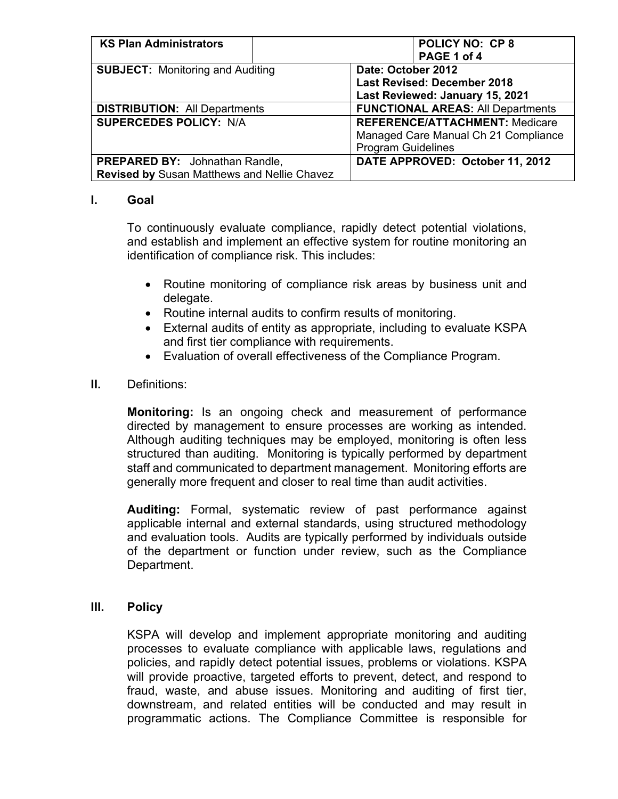| <b>KS Plan Administrators</b>               | <b>POLICY NO: CP8</b>                    |  |  |
|---------------------------------------------|------------------------------------------|--|--|
|                                             | PAGE 1 of 4                              |  |  |
| <b>SUBJECT:</b> Monitoring and Auditing     | Date: October 2012                       |  |  |
|                                             | <b>Last Revised: December 2018</b>       |  |  |
|                                             | Last Reviewed: January 15, 2021          |  |  |
| <b>DISTRIBUTION: All Departments</b>        | <b>FUNCTIONAL AREAS: All Departments</b> |  |  |
| <b>SUPERCEDES POLICY: N/A</b>               | <b>REFERENCE/ATTACHMENT: Medicare</b>    |  |  |
|                                             | Managed Care Manual Ch 21 Compliance     |  |  |
|                                             | <b>Program Guidelines</b>                |  |  |
| PREPARED BY: Johnathan Randle,              | DATE APPROVED: October 11, 2012          |  |  |
| Revised by Susan Matthews and Nellie Chavez |                                          |  |  |

## **I. Goal**

To continuously evaluate compliance, rapidly detect potential violations, and establish and implement an effective system for routine monitoring an identification of compliance risk. This includes:

- Routine monitoring of compliance risk areas by business unit and delegate.
- Routine internal audits to confirm results of monitoring.
- External audits of entity as appropriate, including to evaluate KSPA and first tier compliance with requirements.
- Evaluation of overall effectiveness of the Compliance Program.

## **II.** Definitions:

**Monitoring:** Is an ongoing check and measurement of performance directed by management to ensure processes are working as intended. Although auditing techniques may be employed, monitoring is often less structured than auditing. Monitoring is typically performed by department staff and communicated to department management. Monitoring efforts are generally more frequent and closer to real time than audit activities.

**Auditing:** Formal, systematic review of past performance against applicable internal and external standards, using structured methodology and evaluation tools. Audits are typically performed by individuals outside of the department or function under review, such as the Compliance Department.

## **III. Policy**

KSPA will develop and implement appropriate monitoring and auditing processes to evaluate compliance with applicable laws, regulations and policies, and rapidly detect potential issues, problems or violations. KSPA will provide proactive, targeted efforts to prevent, detect, and respond to fraud, waste, and abuse issues. Monitoring and auditing of first tier, downstream, and related entities will be conducted and may result in programmatic actions. The Compliance Committee is responsible for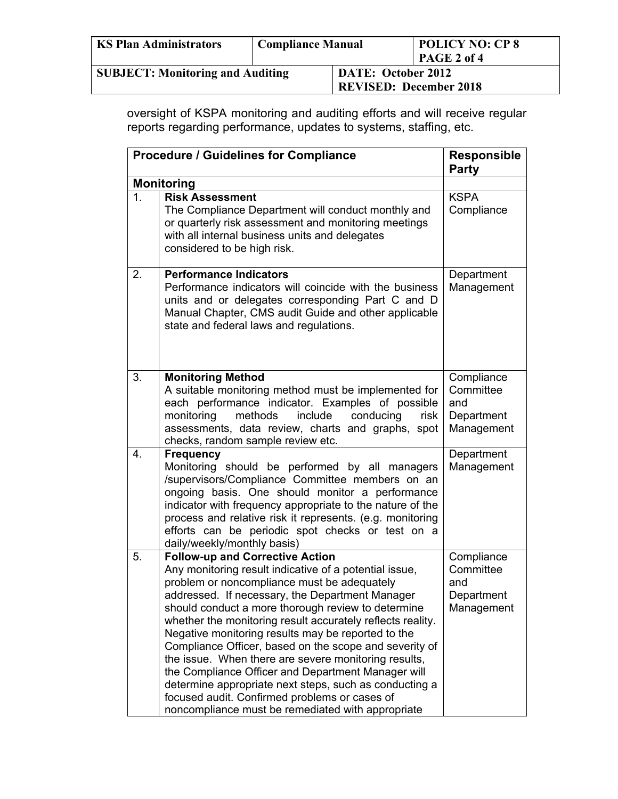| <b>KS Plan Administrators</b>           | <b>Compliance Manual</b>                            |  | <b>POLICY NO: CP 8</b><br>PAGE 2 of 4 |  |
|-----------------------------------------|-----------------------------------------------------|--|---------------------------------------|--|
| <b>SUBJECT: Monitoring and Auditing</b> | DATE: October 2012<br><b>REVISED: December 2018</b> |  |                                       |  |

oversight of KSPA monitoring and auditing efforts and will receive regular reports regarding performance, updates to systems, staffing, etc.

|                | <b>Procedure / Guidelines for Compliance</b>                                                                                                                                                                                                                                                                                                                                                                                                                                                                                                                                                                                                                                                                         | <b>Responsible</b><br>Party                                |
|----------------|----------------------------------------------------------------------------------------------------------------------------------------------------------------------------------------------------------------------------------------------------------------------------------------------------------------------------------------------------------------------------------------------------------------------------------------------------------------------------------------------------------------------------------------------------------------------------------------------------------------------------------------------------------------------------------------------------------------------|------------------------------------------------------------|
|                | <b>Monitoring</b>                                                                                                                                                                                                                                                                                                                                                                                                                                                                                                                                                                                                                                                                                                    |                                                            |
| 1 <sub>1</sub> | <b>Risk Assessment</b><br>The Compliance Department will conduct monthly and<br>or quarterly risk assessment and monitoring meetings<br>with all internal business units and delegates<br>considered to be high risk.                                                                                                                                                                                                                                                                                                                                                                                                                                                                                                | <b>KSPA</b><br>Compliance                                  |
| 2.             | <b>Performance Indicators</b><br>Performance indicators will coincide with the business<br>units and or delegates corresponding Part C and D<br>Manual Chapter, CMS audit Guide and other applicable<br>state and federal laws and regulations.                                                                                                                                                                                                                                                                                                                                                                                                                                                                      | Department<br>Management                                   |
| 3.             | <b>Monitoring Method</b><br>A suitable monitoring method must be implemented for<br>each performance indicator. Examples of possible<br>include<br>monitoring<br>methods<br>conducing<br>risk<br>assessments, data review, charts and graphs, spot<br>checks, random sample review etc.                                                                                                                                                                                                                                                                                                                                                                                                                              | Compliance<br>Committee<br>and<br>Department<br>Management |
| 4.             | <b>Frequency</b><br>Monitoring should be performed by all managers<br>/supervisors/Compliance Committee members on an<br>ongoing basis. One should monitor a performance<br>indicator with frequency appropriate to the nature of the<br>process and relative risk it represents. (e.g. monitoring<br>efforts can be periodic spot checks or test on a<br>daily/weekly/monthly basis)                                                                                                                                                                                                                                                                                                                                | Department<br>Management                                   |
| 5.             | <b>Follow-up and Corrective Action</b><br>Any monitoring result indicative of a potential issue,<br>problem or noncompliance must be adequately<br>addressed. If necessary, the Department Manager<br>should conduct a more thorough review to determine<br>whether the monitoring result accurately reflects reality.<br>Negative monitoring results may be reported to the<br>Compliance Officer, based on the scope and severity of<br>the issue. When there are severe monitoring results,<br>the Compliance Officer and Department Manager will<br>determine appropriate next steps, such as conducting a<br>focused audit. Confirmed problems or cases of<br>noncompliance must be remediated with appropriate | Compliance<br>Committee<br>and<br>Department<br>Management |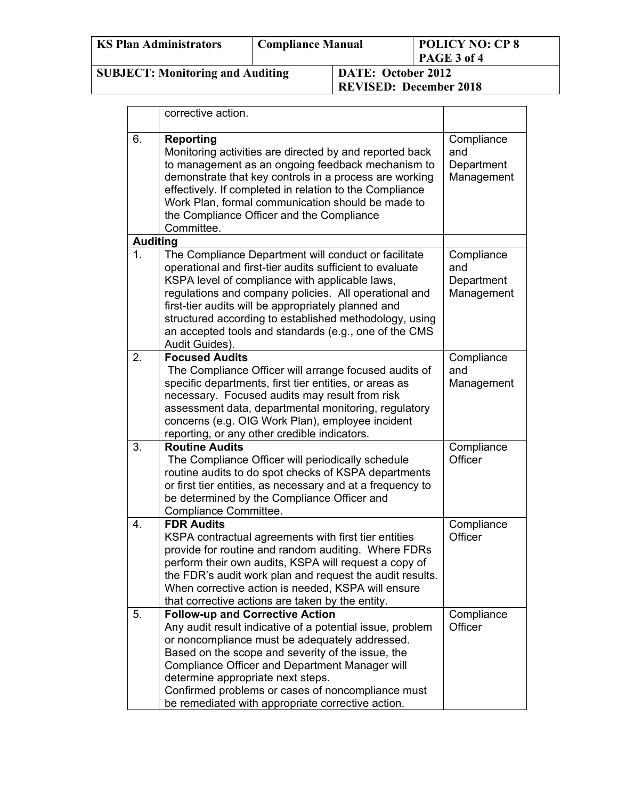| <b>KS Plan Administrators</b>           | <b>Compliance Manual</b> |                                                     | <b>POLICY NO: CP8</b><br>PAGE 3 of 4 |  |
|-----------------------------------------|--------------------------|-----------------------------------------------------|--------------------------------------|--|
| <b>SUBJECT: Monitoring and Auditing</b> |                          | DATE: October 2012<br><b>REVISED: December 2018</b> |                                      |  |

|                 | corrective action.                                                                                                                                                                                                                                                                                                                                                                                                      |                                               |
|-----------------|-------------------------------------------------------------------------------------------------------------------------------------------------------------------------------------------------------------------------------------------------------------------------------------------------------------------------------------------------------------------------------------------------------------------------|-----------------------------------------------|
| 6.              | <b>Reporting</b><br>Monitoring activities are directed by and reported back<br>to management as an ongoing feedback mechanism to<br>demonstrate that key controls in a process are working<br>effectively. If completed in relation to the Compliance<br>Work Plan, formal communication should be made to<br>the Compliance Officer and the Compliance<br>Committee.                                                   | Compliance<br>and<br>Department<br>Management |
| <b>Auditing</b> |                                                                                                                                                                                                                                                                                                                                                                                                                         |                                               |
| 1.              | The Compliance Department will conduct or facilitate<br>operational and first-tier audits sufficient to evaluate<br>KSPA level of compliance with applicable laws,<br>regulations and company policies. All operational and<br>first-tier audits will be appropriately planned and<br>structured according to established methodology, using<br>an accepted tools and standards (e.g., one of the CMS<br>Audit Guides). | Compliance<br>and<br>Department<br>Management |
| 2.              | <b>Focused Audits</b><br>The Compliance Officer will arrange focused audits of<br>specific departments, first tier entities, or areas as<br>necessary. Focused audits may result from risk<br>assessment data, departmental monitoring, regulatory<br>concerns (e.g. OIG Work Plan), employee incident<br>reporting, or any other credible indicators.                                                                  | Compliance<br>and<br>Management               |
| 3.              | <b>Routine Audits</b><br>The Compliance Officer will periodically schedule<br>routine audits to do spot checks of KSPA departments<br>or first tier entities, as necessary and at a frequency to<br>be determined by the Compliance Officer and<br>Compliance Committee.                                                                                                                                                | Compliance<br>Officer                         |
| 4.              | <b>FDR Audits</b><br>KSPA contractual agreements with first tier entities<br>provide for routine and random auditing. Where FDRs<br>perform their own audits, KSPA will request a copy of<br>the FDR's audit work plan and request the audit results.<br>When corrective action is needed, KSPA will ensure<br>that corrective actions are taken by the entity.                                                         | Compliance<br>Officer                         |
| 5.              | <b>Follow-up and Corrective Action</b><br>Any audit result indicative of a potential issue, problem<br>or noncompliance must be adequately addressed.<br>Based on the scope and severity of the issue, the<br>Compliance Officer and Department Manager will<br>determine appropriate next steps.<br>Confirmed problems or cases of noncompliance must<br>be remediated with appropriate corrective action.             | Compliance<br>Officer                         |